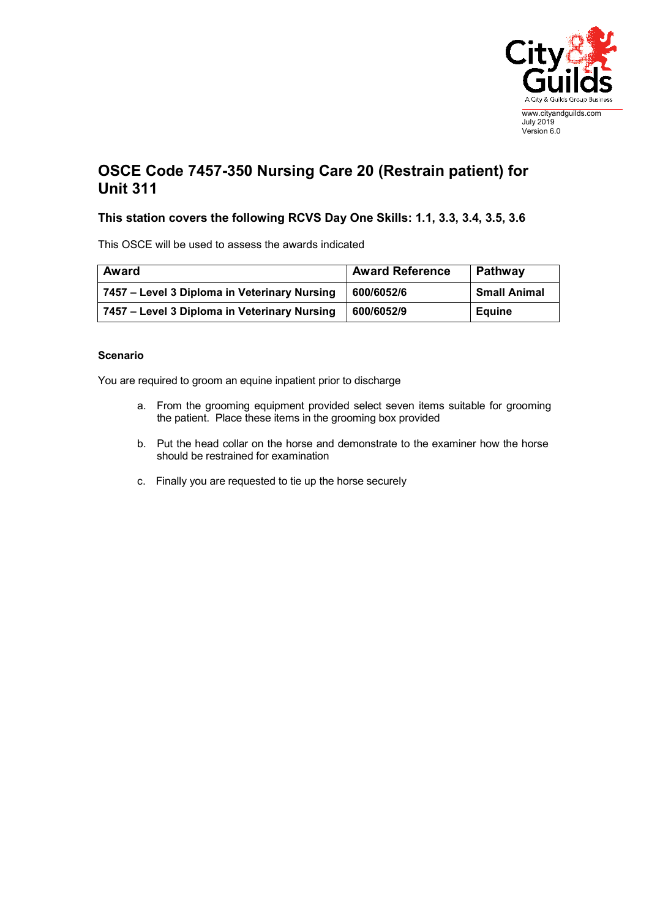

## **OSCE Code 7457-350 Nursing Care 20 (Restrain patient) for Unit 311**

## **This station covers the following RCVS Day One Skills: 1.1, 3.3, 3.4, 3.5, 3.6**

This OSCE will be used to assess the awards indicated

| Award                                        | <b>Award Reference</b> | Pathway             |
|----------------------------------------------|------------------------|---------------------|
| 7457 – Level 3 Diploma in Veterinary Nursing | 600/6052/6             | <b>Small Animal</b> |
| 7457 – Level 3 Diploma in Veterinary Nursing | 600/6052/9             | <b>Equine</b>       |

## **Scenario**

You are required to groom an equine inpatient prior to discharge

- a. From the grooming equipment provided select seven items suitable for grooming the patient. Place these items in the grooming box provided
- b. Put the head collar on the horse and demonstrate to the examiner how the horse should be restrained for examination
- c. Finally you are requested to tie up the horse securely